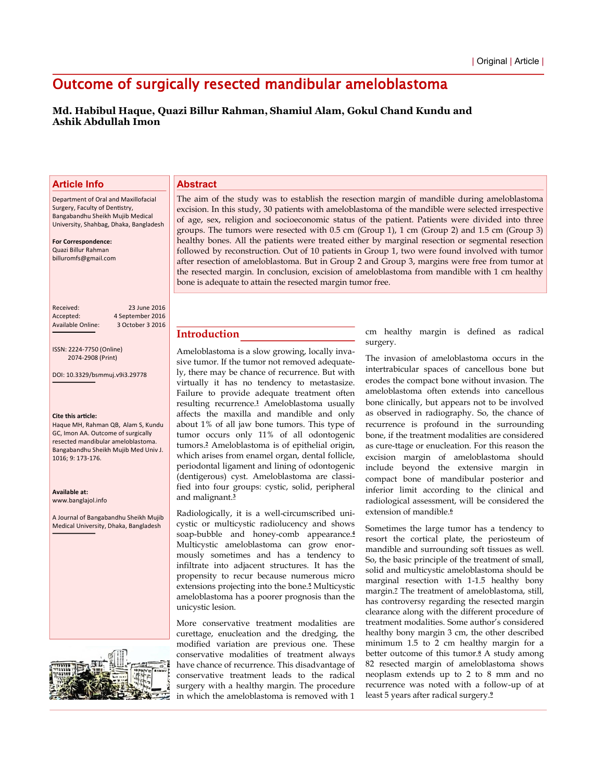# Outcome of surgically resected mandibular ameloblastoma

# **Md. Habibul Haque, Quazi Billur Rahman, Shamiul Alam, Gokul Chand Kundu and Ashik Abdullah Imon**

## **Article Info**

Department of Oral and Maxillofacial Surgery, Faculty of Dentistry, Bangabandhu Sheikh Mujib Medical University, Shahbag, Dhaka, Bangladesh

**For Correspondence:** Quazi Billur Rahman billuromfs@gmail.com

Received: 23 June 2016 Accepted: 4 September 2016<br>Available Online: 3 October 3 2016 3 October 3 2016

ISSN: 2224-7750 (Online)

2074-2908 (Print)

DOI: 10.3329/bsmmuj.v9i3.29778

#### **Cite this article:**

Haque MH, Rahman OB, Alam S, Kundu GC, Imon AA. Outcome of surgically resected mandibular ameloblastoma. Bangabandhu Sheikh Mujib Med Univ J. 1016: 9: 173-176.

**Availaďle at:** www.banglaiol.info

A Journal of Bangabandhu Sheikh Mujib Medical University, Dhaka, Bangladesh



#### **Abstract**

The aim of the study was to establish the resection margin of mandible during ameloblastoma excision. In this study, 30 patients with ameloblastoma of the mandible were selected irrespective of age, sex, religion and socioeconomic status of the patient. Patients were divided into three groups. The tumors were resected with 0.5 cm (Group 1), 1 cm (Group 2) and 1.5 cm (Group 3) healthy bones. All the patients were treated either by marginal resection or segmental resection followed by reconstruction. Out of 10 patients in Group 1, two were found involved with tumor after resection of ameloblastoma. But in Group 2 and Group 3, margins were free from tumor at the resected margin. In conclusion, excision of ameloblastoma from mandible with 1 cm healthy bone is adequate to attain the resected margin tumor free.

### **Introduction**

Ameloblastoma is a slow growing, locally invasive tumor. If the tumor not removed adequately, there may be chance of recurrence. But with virtually it has no tendency to metastasize. Failure to provide adequate treatment often resulting recurrence.**1** Ameloblastoma usually affects the maxilla and mandible and only about 1% of all jaw bone tumors. This type of tumor occurs only 11% of all odontogenic tumors.**2** Ameloblastoma is of epithelial origin, which arises from enamel organ, dental follicle, periodontal ligament and lining of odontogenic (dentigerous) cyst. Ameloblastoma are classified into four groups: cystic, solid, peripheral and malignant.**<sup>3</sup>**

Radiologically, it is a well-circumscribed unicystic or multicystic radiolucency and shows soap-bubble and honey-comb appearance.**<sup>4</sup>** Multicystic ameloblastoma can grow enormously sometimes and has a tendency to infiltrate into adjacent structures. It has the propensity to recur because numerous micro extensions projecting into the bone.**5** Multicystic ameloblastoma has a poorer prognosis than the unicystic lesion.

More conservative treatment modalities are curettage, enucleation and the dredging, the modified variation are previous one. These conservative modalities of treatment always have chance of recurrence. This disadvantage of conservative treatment leads to the radical surgery with a healthy margin. The procedure in which the ameloblastoma is removed with 1

cm healthy margin is defined as radical surgery.

The invasion of ameloblastoma occurs in the intertrabicular spaces of cancellous bone but erodes the compact bone without invasion. The ameloblastoma often extends into cancellous bone clinically, but appears not to be involved as observed in radiography. So, the chance of recurrence is profound in the surrounding bone, if the treatment modalities are considered as cure-ttage or enucleation. For this reason the excision margin of ameloblastoma should include beyond the extensive margin in compact bone of mandibular posterior and inferior limit according to the clinical and radiological assessment, will be considered the extension of mandible.**<sup>6</sup>**

Sometimes the large tumor has a tendency to resort the cortical plate, the periosteum of mandible and surrounding soft tissues as well. So, the basic principle of the treatment of small, solid and multicystic ameloblastoma should be marginal resection with 1-1.5 healthy bony margin.**7** The treatment of ameloblastoma, still, has controversy regarding the resected margin clearance along with the different procedure of treatment modalities. Some author's considered healthy bony margin 3 cm, the other described minimum 1.5 to 2 cm healthy margin for a better outcome of this tumor.**8** A study among 82 resected margin of ameloblastoma shows neoplasm extends up to 2 to 8 mm and no recurrence was noted with a follow-up of at least 5 years after radical surgery.**<sup>9</sup>**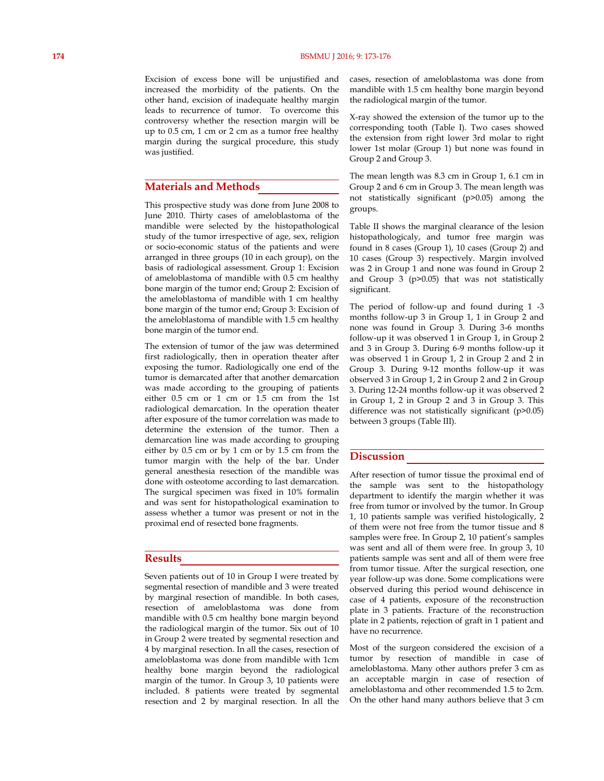#### **174** BSMMU J 2016; 9: 173-176

Excision of excess bone will be unjustified and increased the morbidity of the patients. On the other hand, excision of inadequate healthy margin leads to recurrence of tumor. To overcome this controversy whether the resection margin will be up to 0.5 cm, 1 cm or 2 cm as a tumor free healthy margin during the surgical procedure, this study was justified.

### **Materials and Methods**

This prospective study was done from June 2008 to June 2010. Thirty cases of ameloblastoma of the mandible were selected by the histopathological study of the tumor irrespective of age, sex, religion or socio-economic status of the patients and were arranged in three groups (10 in each group), on the basis of radiological assessment. Group 1: Excision of ameloblastoma of mandible with 0.5 cm healthy bone margin of the tumor end; Group 2: Excision of the ameloblastoma of mandible with 1 cm healthy bone margin of the tumor end; Group 3: Excision of the ameloblastoma of mandible with 1.5 cm healthy bone margin of the tumor end.

The extension of tumor of the jaw was determined first radiologically, then in operation theater after exposing the tumor. Radiologically one end of the tumor is demarcated after that another demarcation was made according to the grouping of patients either 0.5 cm or 1 cm or 1.5 cm from the 1st radiological demarcation. In the operation theater after exposure of the tumor correlation was made to determine the extension of the tumor. Then a demarcation line was made according to grouping either by 0.5 cm or by 1 cm or by 1.5 cm from the tumor margin with the help of the bar. Under general anesthesia resection of the mandible was done with osteotome according to last demarcation. The surgical specimen was fixed in 10% formalin and was sent for histopathological examination to assess whether a tumor was present or not in the proximal end of resected bone fragments.

### **Results**

Seven patients out of 10 in Group I were treated by segmental resection of mandible and 3 were treated by marginal resection of mandible. In both cases, resection of ameloblastoma was done from mandible with 0.5 cm healthy bone margin beyond the radiological margin of the tumor. Six out of 10 in Group 2 were treated by segmental resection and 4 by marginal resection. In all the cases, resection of ameloblastoma was done from mandible with 1cm healthy bone margin beyond the radiological margin of the tumor. In Group 3, 10 patients were included. 8 patients were treated by segmental resection and 2 by marginal resection. In all the

cases, resection of ameloblastoma was done from mandible with 1.5 cm healthy bone margin beyond the radiological margin of the tumor.

X-ray showed the extension of the tumor up to the corresponding tooth (Table I). Two cases showed the extension from right lower 3rd molar to right lower 1st molar (Group 1) but none was found in Group 2 and Group 3.

The mean length was 8.3 cm in Group 1, 6.1 cm in Group 2 and 6 cm in Group 3. The mean length was not statistically significant (p>0.05) among the groups.

Table II shows the marginal clearance of the lesion histopathologicaly, and tumor free margin was found in 8 cases (Group 1), 10 cases (Group 2) and 10 cases (Group 3) respectively. Margin involved was 2 in Group 1 and none was found in Group 2 and Group 3 (p>0.05) that was not statistically significant.

The period of follow-up and found during 1 -3 months follow-up 3 in Group 1, 1 in Group 2 and none was found in Group 3. During 3-6 months follow-up it was observed 1 in Group 1, in Group 2 and 3 in Group 3. During 6-9 months follow-up it was observed 1 in Group 1, 2 in Group 2 and 2 in Group 3. During 9-12 months follow-up it was observed 3 in Group 1, 2 in Group 2 and 2 in Group 3. During 12-24 months follow-up it was observed 2 in Group 1, 2 in Group 2 and 3 in Group 3. This difference was not statistically significant (p>0.05) between 3 groups (Table III).

### **Discussion**

After resection of tumor tissue the proximal end of the sample was sent to the histopathology department to identify the margin whether it was free from tumor or involved by the tumor. In Group 1, 10 patients sample was verified histologically, 2 of them were not free from the tumor tissue and 8 samples were free. In Group 2, 10 patient's samples was sent and all of them were free. In group 3, 10 patients sample was sent and all of them were free from tumor tissue. After the surgical resection, one year follow-up was done. Some complications were observed during this period wound dehiscence in case of 4 patients, exposure of the reconstruction plate in 3 patients. Fracture of the reconstruction plate in 2 patients, rejection of graft in 1 patient and have no recurrence.

Most of the surgeon considered the excision of a tumor by resection of mandible in case of ameloblastoma. Many other authors prefer 3 cm as an acceptable margin in case of resection of ameloblastoma and other recommended 1.5 to 2cm. On the other hand many authors believe that 3 cm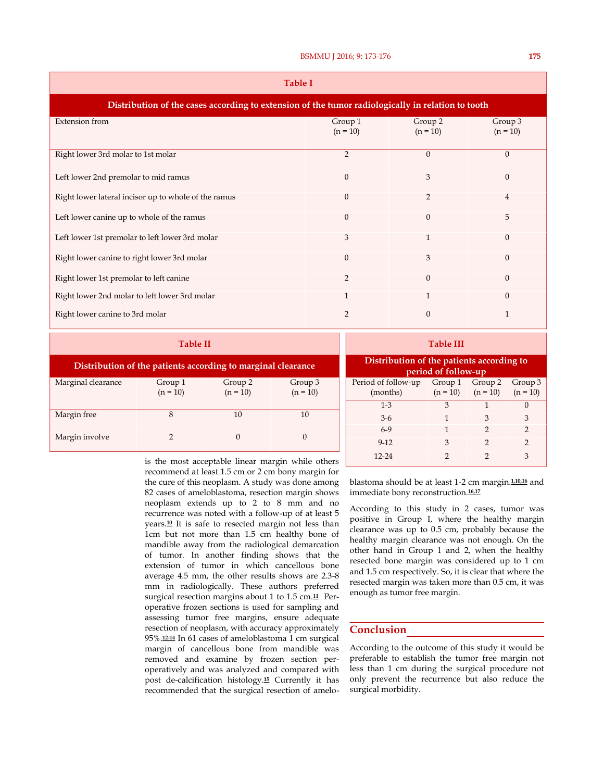| Table I                                                                                           |                       |                       |                       |  |  |
|---------------------------------------------------------------------------------------------------|-----------------------|-----------------------|-----------------------|--|--|
| Distribution of the cases according to extension of the tumor radiologically in relation to tooth |                       |                       |                       |  |  |
| <b>Extension</b> from                                                                             | Group 1<br>$(n = 10)$ | Group 2<br>$(n = 10)$ | Group 3<br>$(n = 10)$ |  |  |
| Right lower 3rd molar to 1st molar                                                                | $\overline{2}$        | $\mathbf{0}$          | $\theta$              |  |  |
| Left lower 2nd premolar to mid ramus                                                              | $\theta$              | 3                     | $\mathbf{0}$          |  |  |
| Right lower lateral incisor up to whole of the ramus                                              | $\theta$              | 2                     | $\overline{4}$        |  |  |
| Left lower canine up to whole of the ramus                                                        | $\theta$              | $\theta$              | 5                     |  |  |
| Left lower 1st premolar to left lower 3rd molar                                                   | 3                     | 1                     | $\theta$              |  |  |
| Right lower canine to right lower 3rd molar                                                       | $\Omega$              | 3                     | $\theta$              |  |  |
| Right lower 1st premolar to left canine                                                           | $\overline{2}$        | $\mathbf{0}$          | $\theta$              |  |  |
| Right lower 2nd molar to left lower 3rd molar                                                     | 1                     | 1                     | $\theta$              |  |  |
| Right lower canine to 3rd molar                                                                   | $\overline{2}$        | $\theta$              | 1                     |  |  |

| <b>Table II</b>                                              |                       |                       |                       |  |
|--------------------------------------------------------------|-----------------------|-----------------------|-----------------------|--|
| Distribution of the patients according to marginal clearance |                       |                       |                       |  |
| Marginal clearance                                           | Group 1<br>$(n = 10)$ | Group 2<br>$(n = 10)$ | Group 3<br>$(n = 10)$ |  |
| Margin free                                                  | 8                     | 10                    | 10                    |  |
| Margin involve                                               | 2                     | $\theta$              | $\mathcal{O}$         |  |

**Table III Distribution of the patients according to period of follow-up** Period of follow-up (months) Group 1  $(n = 10)$ Group 2 Group 3  $(n = 10)$  $(n = 10)$ 1-3 3 1 0  $3-6$  1 3 3 6-9 1 2 2 9-12 3 2 2  $12-24$  2 2 3

is the most acceptable linear margin while others recommend at least 1.5 cm or 2 cm bony margin for the cure of this neoplasm. A study was done among 82 cases of ameloblastoma, resection margin shows neoplasm extends up to 2 to 8 mm and no recurrence was noted with a follow-up of at least 5 years.**10** It is safe to resected margin not less than 1cm but not more than 1.5 cm healthy bone of mandible away from the radiological demarcation of tumor. In another finding shows that the extension of tumor in which cancellous bone average 4.5 mm, the other results shows are 2.3-8 mm in radiologically. These authors preferred surgical resection margins about 1 to 1.5 cm.**11** Peroperative frozen sections is used for sampling and assessing tumor free margins, ensure adequate resection of neoplasm, with accuracy approximately 95%.**12-14** In 61 cases of ameloblastoma 1 cm surgical margin of cancellous bone from mandible was removed and examine by frozen section peroperatively and was analyzed and compared with post de-calcification histology.**15** Currently it has recommended that the surgical resection of amelo-

blastoma should be at least 1-2 cm margin.**1,10,16** and immediate bony reconstruction.**16,17**

According to this study in 2 cases, tumor was positive in Group I, where the healthy margin clearance was up to 0.5 cm, probably because the healthy margin clearance was not enough. On the other hand in Group 1 and 2, when the healthy resected bone margin was considered up to 1 cm and 1.5 cm respectively. So, it is clear that where the resected margin was taken more than 0.5 cm, it was enough as tumor free margin.

# **Conclusion**

According to the outcome of this study it would be preferable to establish the tumor free margin not less than 1 cm during the surgical procedure not only prevent the recurrence but also reduce the surgical morbidity.